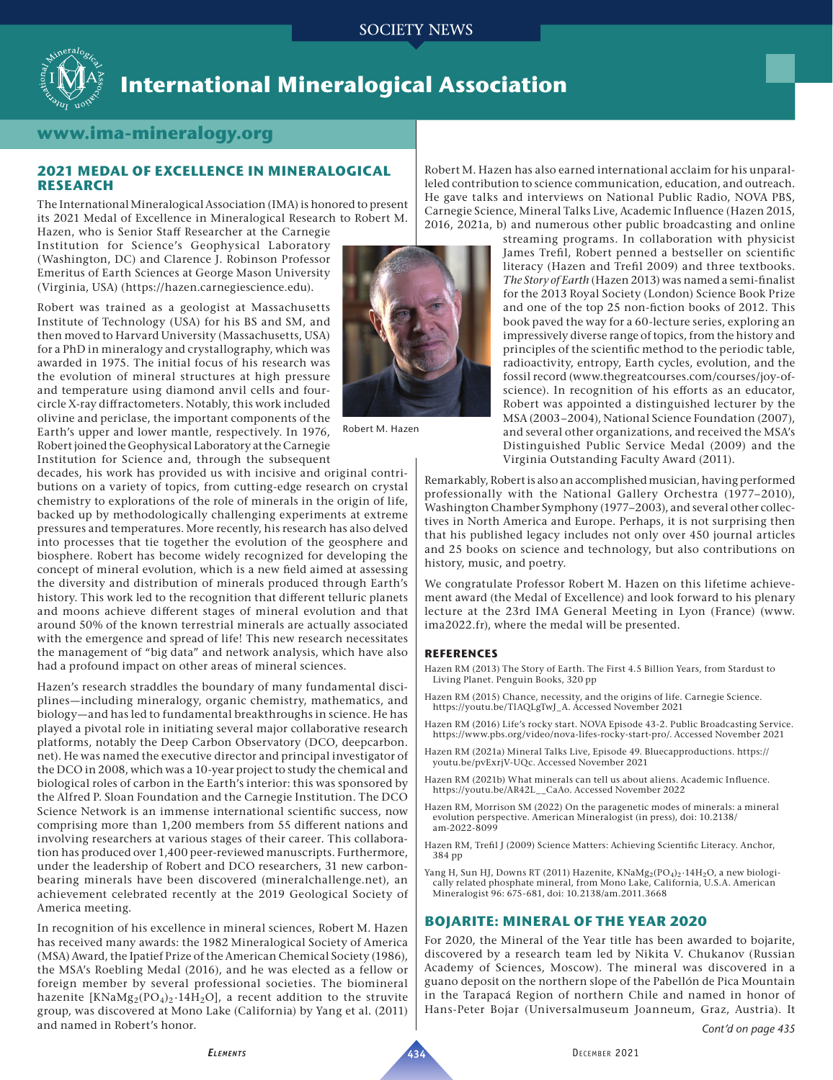

# **International Mineralogical Association**

## **www.ima-mineralogy.org**

#### **2021 MEDAL OF EXCELLENCE IN MINERALOGICAL RESEARCH**

The International Mineralogical Association (IMA) is honored to present its 2021 Medal of Excellence in Mineralogical Research to Robert M.

Hazen, who is Senior Staff Researcher at the Carnegie Institution for Science's Geophysical Laboratory (Washington, DC) and Clarence J. Robinson Professor Emeritus of Earth Sciences at George Mason University (Virginia, USA) (<https://hazen.carnegiescience.edu>).

Robert was trained as a geologist at Massachusetts Institute of Technology (USA) for his BS and SM, and then moved to Harvard University (Massachusetts, USA) for a PhD in mineralogy and crystallography, which was awarded in 1975. The initial focus of his research was the evolution of mineral structures at high pressure and temperature using diamond anvil cells and fourcircle X-ray diffractometers. Notably, this work included olivine and periclase, the important components of the Earth's upper and lower mantle, respectively. In 1976, Robert joined the Geophysical Laboratory at the Carnegie Institution for Science and, through the subsequent

decades, his work has provided us with incisive and original contributions on a variety of topics, from cutting-edge research on crystal chemistry to explorations of the role of minerals in the origin of life, backed up by methodologically challenging experiments at extreme pressures and temperatures. More recently, his research has also delved into processes that tie together the evolution of the geosphere and biosphere. Robert has become widely recognized for developing the concept of mineral evolution, which is a new field aimed at assessing the diversity and distribution of minerals produced through Earth's history. This work led to the recognition that different telluric planets and moons achieve different stages of mineral evolution and that around 50% of the known terrestrial minerals are actually associated with the emergence and spread of life! This new research necessitates the management of "big data" and network analysis, which have also had a profound impact on other areas of mineral sciences.

Hazen's research straddles the boundary of many fundamental disciplines—including mineralogy, organic chemistry, mathematics, and biology—and has led to fundamental breakthroughs in science. He has played a pivotal role in initiating several major collaborative research platforms, notably the Deep Carbon Observatory (DCO, deepcarbon. net). He was named the executive director and principal investigator of the DCO in 2008, which was a 10-year project to study the chemical and biological roles of carbon in the Earth's interior: this was sponsored by the Alfred P. Sloan Foundation and the Carnegie Institution. The DCO Science Network is an immense international scientific success, now comprising more than 1,200 members from 55 different nations and involving researchers at various stages of their career. This collaboration has produced over 1,400 peer-reviewed manuscripts. Furthermore, under the leadership of Robert and DCO researchers, 31 new carbonbearing minerals have been discovered [\(mineralchallenge.net\)](http://mineralchallenge.net/), an achievement celebrated recently at the 2019 Geological Society of America meeting.

In recognition of his excellence in mineral sciences, Robert M. Hazen has received many awards: the 1982 Mineralogical Society of America (MSA) Award, the Ipatief Prize of the American Chemical Society (1986), the MSA's Roebling Medal (2016), and he was elected as a fellow or foreign member by several professional societies. The biomineral hazenite [KNaMg<sub>2</sub>(PO<sub>4</sub>)<sub>2</sub>·14H<sub>2</sub>O], a recent addition to the struvite group, was discovered at Mono Lake (California) by Yang et al. (2011) and named in Robert's honor.



Robert M. Hazen

Robert M. Hazen has also earned international acclaim for his unparalleled contribution to science communication, education, and outreach. He gave talks and interviews on National Public Radio, NOVA PBS, Carnegie Science, Mineral Talks Live, Academic Influence (Hazen 2015, 2016, 2021a, b) and numerous other public broadcasting and online

streaming programs. In collaboration with physicist James Trefil, Robert penned a bestseller on scientific literacy (Hazen and Trefil 2009) and three textbooks. *The Story of Earth* (Hazen 2013) was named a semi-finalist for the 2013 Royal Society (London) Science Book Prize and one of the top 25 non-fiction books of 2012. This book paved the way for a 60-lecture series, exploring an impressively diverse range of topics, from the history and principles of the scientific method to the periodic table, radioactivity, entropy, Earth cycles, evolution, and the fossil record [\(www.thegreatcourses.com/courses/joy-of](http://www.thegreatcourses.com/courses/joy-of-science)[science\)](http://www.thegreatcourses.com/courses/joy-of-science). In recognition of his efforts as an educator, Robert was appointed a distinguished lecturer by the MSA (2003–2004), National Science Foundation (2007), and several other organizations, and received the MSA's Distinguished Public Service Medal (2009) and the Virginia Outstanding Faculty Award (2011).

Remarkably, Robert is also an accomplished musician, having performed professionally with the National Gallery Orchestra (1977–2010), Washington Chamber Symphony (1977–2003), and several other collectives in North America and Europe. Perhaps, it is not surprising then that his published legacy includes not only over 450 journal articles and 25 books on science and technology, but also contributions on history, music, and poetry.

We congratulate Professor Robert M. Hazen on this lifetime achievement award (the Medal of Excellence) and look forward to his plenary lecture at the 23rd IMA General Meeting in Lyon (France) ([www.](http://www.ima2022.fr) [ima2022.fr\)](http://www.ima2022.fr), where the medal will be presented.

#### **REFERENCES**

- Hazen RM (2013) The Story of Earth. The First 4.5 Billion Years, from Stardust to Living Planet. Penguin Books, 320 pp
- Hazen RM (2015) Chance, necessity, and the origins of life. Carnegie Science. [https://youtu.be/TlAQLgTwJ\\_A.](https://youtu.be/TlAQLgTwJ_A) Accessed November 2021
- Hazen RM (2016) Life's rocky start. NOVA Episode 43-2. Public Broadcasting Service. [https://www.pbs.org/video/nova-lifes-rocky-start-pro/.](https://www.pbs.org/video/nova-lifes-rocky-start-pro/) Accessed November 2021
- Hazen RM (2021a) Mineral Talks Live, Episode 49. Bluecapproductions. [https://](https://youtu.be/pvExrjV-UQc) [youtu.be/pvExrjV-UQc](https://youtu.be/pvExrjV-UQc). Accessed November 2021
- Hazen RM (2021b) What minerals can tell us about aliens. Academic Influence. [https://youtu.be/AR42L\\_\\_CaAo.](https://youtu.be/AR42L__CaAo) Accessed November 2022
- Hazen RM, Morrison SM (2022) On the paragenetic modes of minerals: a mineral evolution perspective. American Mineralogist (in press), doi: [10.2138/](https://doi.org/10.2138/am-2022-8099) [am-2022-8099](https://doi.org/10.2138/am-2022-8099)
- Hazen RM, Trefil J (2009) Science Matters: Achieving Scientific Literacy. Anchor, 384 pp
- Yang H, Sun HJ, Downs RT (2011) Hazenite,  $\text{KNaMg}_2(\text{PO}_4)_2 \cdot 14 \text{H}_2\text{O}$ , a new biologically related phosphate mineral, from Mono Lake, California, U.S.A. American Mineralogist 96: 675-681, doi: [10.2138/am.2011.3668](https://doi.org/10.2138/am.2011.3668)

#### **BOJARITE: MINERAL OF THE YEAR 2020**

For 2020, the Mineral of the Year title has been awarded to bojarite, discovered by a research team led by Nikita V. Chukanov (Russian Academy of Sciences, Moscow). The mineral was discovered in a guano deposit on the northern slope of the Pabellón de Pica Mountain in the Tarapacá Region of northern Chile and named in honor of Hans-Peter Bojar (Universalmuseum Joanneum, Graz, Austria). It